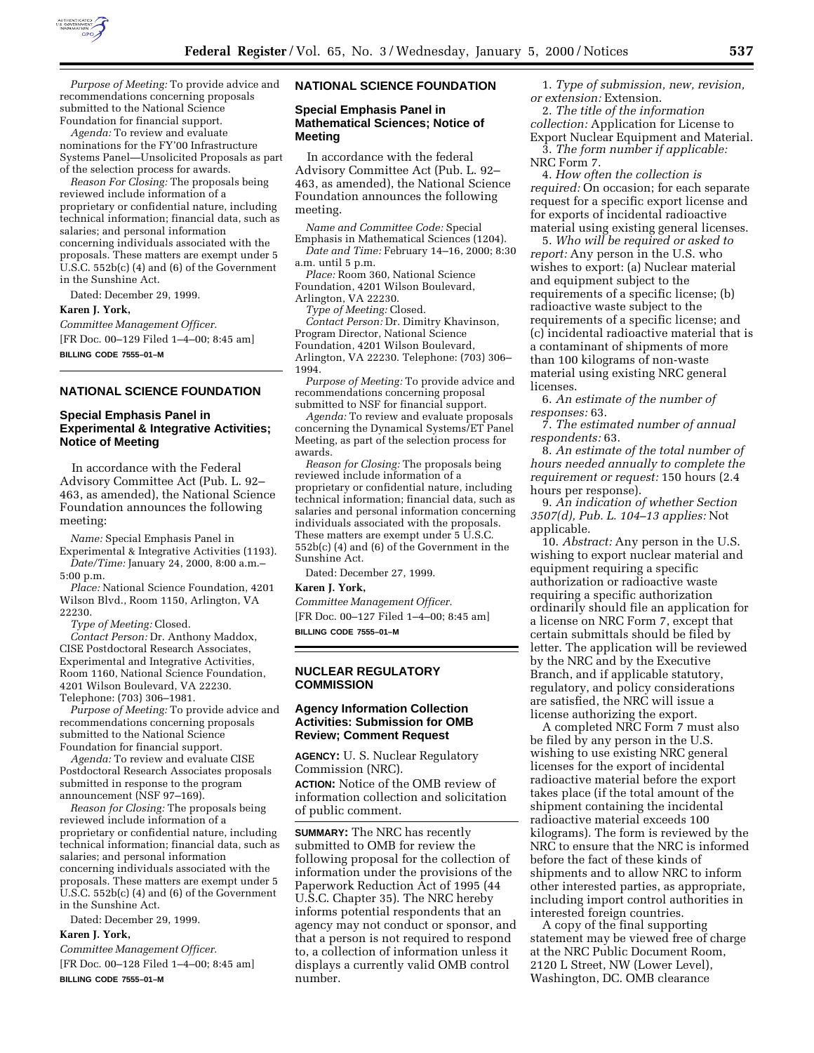

*Purpose of Meeting:* To provide advice and recommendations concerning proposals submitted to the National Science Foundation for financial support.

*Agenda:* To review and evaluate nominations for the FY'00 Infrastructure Systems Panel—Unsolicited Proposals as part of the selection process for awards.

*Reason For Closing:* The proposals being reviewed include information of a proprietary or confidential nature, including technical information; financial data, such as salaries; and personal information concerning individuals associated with the proposals. These matters are exempt under 5 U.S.C. 552b(c) (4) and (6) of the Government in the Sunshine Act.

Dated: December 29, 1999.

### **Karen J. York,**

*Committee Management Officer.* [FR Doc. 00–129 Filed 1–4–00; 8:45 am] **BILLING CODE 7555–01–M**

# **NATIONAL SCIENCE FOUNDATION**

## **Special Emphasis Panel in Experimental & Integrative Activities; Notice of Meeting**

In accordance with the Federal Advisory Committee Act (Pub. L. 92– 463, as amended), the National Science Foundation announces the following meeting:

*Name:* Special Emphasis Panel in Experimental & Integrative Activities (1193).

*Date/Time:* January 24, 2000, 8:00 a.m.– 5:00 p.m.

*Place:* National Science Foundation, 4201 Wilson Blvd., Room 1150, Arlington, VA 22230.

*Type of Meeting:* Closed.

*Contact Person:* Dr. Anthony Maddox, CISE Postdoctoral Research Associates, Experimental and Integrative Activities, Room 1160, National Science Foundation, 4201 Wilson Boulevard, VA 22230. Telephone: (703) 306–1981.

*Purpose of Meeting:* To provide advice and recommendations concerning proposals submitted to the National Science Foundation for financial support.

*Agenda:* To review and evaluate CISE Postdoctoral Research Associates proposals submitted in response to the program announcement (NSF 97–169).

*Reason for Closing:* The proposals being reviewed include information of a proprietary or confidential nature, including technical information; financial data, such as salaries; and personal information concerning individuals associated with the proposals. These matters are exempt under 5  $\overline{U.S.C.}$  552b(c) (4) and (6) of the Government in the Sunshine Act.

Dated: December 29, 1999.

## **Karen J. York,**

*Committee Management Officer.* [FR Doc. 00–128 Filed 1–4–00; 8:45 am] **BILLING CODE 7555–01–M**

# **NATIONAL SCIENCE FOUNDATION**

# **Special Emphasis Panel in Mathematical Sciences; Notice of Meeting**

In accordance with the federal Advisory Committee Act (Pub. L. 92– 463, as amended), the National Science Foundation announces the following meeting.

*Name and Committee Code:* Special Emphasis in Mathematical Sciences (1204).

*Date and Time:* February 14–16, 2000; 8:30 a.m. until 5 p.m.

*Place:* Room 360, National Science Foundation, 4201 Wilson Boulevard, Arlington, VA 22230.

*Type of Meeting:* Closed.

*Contact Person:* Dr. Dimitry Khavinson, Program Director, National Science Foundation, 4201 Wilson Boulevard, Arlington, VA 22230. Telephone: (703) 306– 1994.

*Purpose of Meeting:* To provide advice and recommendations concerning proposal submitted to NSF for financial support.

*Agenda:* To review and evaluate proposals concerning the Dynamical Systems/ET Panel Meeting, as part of the selection process for awards.

*Reason for Closing:* The proposals being reviewed include information of a proprietary or confidential nature, including technical information; financial data, such as salaries and personal information concerning individuals associated with the proposals. These matters are exempt under 5 U.S.C. 552b(c) (4) and (6) of the Government in the Sunshine Act.

Dated: December 27, 1999.

#### **Karen J. York,**

*Committee Management Officer.*

[FR Doc. 00–127 Filed 1–4–00; 8:45 am] **BILLING CODE 7555–01–M**

### **NUCLEAR REGULATORY COMMISSION**

# **Agency Information Collection Activities: Submission for OMB Review; Comment Request**

**AGENCY:** U. S. Nuclear Regulatory Commission (NRC). **ACTION:** Notice of the OMB review of information collection and solicitation

of public comment.

**SUMMARY:** The NRC has recently submitted to OMB for review the following proposal for the collection of information under the provisions of the Paperwork Reduction Act of 1995 (44 U.S.C. Chapter 35). The NRC hereby informs potential respondents that an agency may not conduct or sponsor, and that a person is not required to respond to, a collection of information unless it displays a currently valid OMB control number.

1. *Type of submission, new, revision, or extension:* Extension.

2. *The title of the information collection:* Application for License to Export Nuclear Equipment and Material. 3. *The form number if applicable:*

NRC Form 7.

4. *How often the collection is required:* On occasion; for each separate request for a specific export license and for exports of incidental radioactive material using existing general licenses.

5. *Who will be required or asked to report:* Any person in the U.S. who wishes to export: (a) Nuclear material and equipment subject to the requirements of a specific license; (b) radioactive waste subject to the requirements of a specific license; and (c) incidental radioactive material that is a contaminant of shipments of more than 100 kilograms of non-waste material using existing NRC general licenses.

6. *An estimate of the number of responses:* 63.

7. *The estimated number of annual respondents:* 63.

8. *An estimate of the total number of hours needed annually to complete the requirement or request:* 150 hours (2.4 hours per response).

9. *An indication of whether Section 3507(d), Pub. L. 104–13 applies:* Not applicable.

10. *Abstract:* Any person in the U.S. wishing to export nuclear material and equipment requiring a specific authorization or radioactive waste requiring a specific authorization ordinarily should file an application for a license on NRC Form 7, except that certain submittals should be filed by letter. The application will be reviewed by the NRC and by the Executive Branch, and if applicable statutory, regulatory, and policy considerations are satisfied, the NRC will issue a license authorizing the export.

A completed NRC Form 7 must also be filed by any person in the U.S. wishing to use existing NRC general licenses for the export of incidental radioactive material before the export takes place (if the total amount of the shipment containing the incidental radioactive material exceeds 100 kilograms). The form is reviewed by the NRC to ensure that the NRC is informed before the fact of these kinds of shipments and to allow NRC to inform other interested parties, as appropriate, including import control authorities in interested foreign countries.

A copy of the final supporting statement may be viewed free of charge at the NRC Public Document Room, 2120 L Street, NW (Lower Level), Washington, DC. OMB clearance